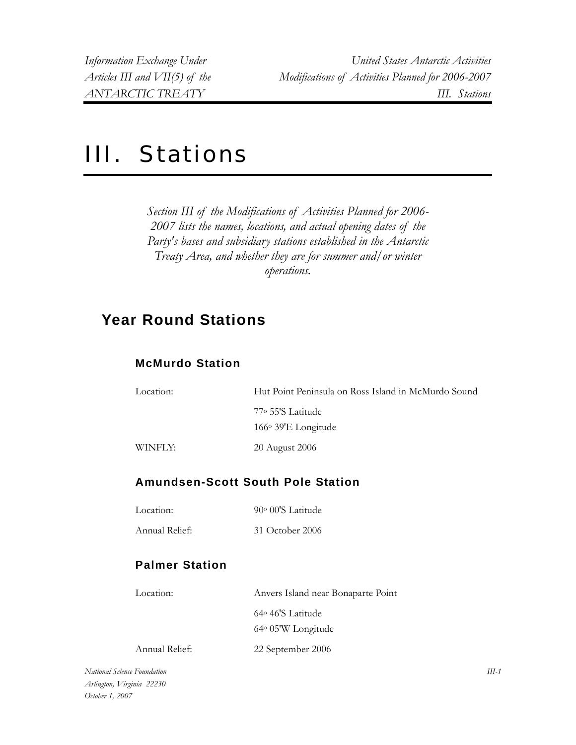# III. Stations

*Section III of the Modifications of Activities Planned for 2006- 2007 lists the names, locations, and actual opening dates of the Party's bases and subsidiary stations established in the Antarctic Treaty Area, and whether they are for summer and/or winter operations.* 

# **Year Round Stations**

#### **McMurdo Station**

| Location: | Hut Point Peninsula on Ross Island in McMurdo Sound |
|-----------|-----------------------------------------------------|
|           | 77° 55'S Latitude                                   |
|           | $166°$ 39'E Longitude                               |
| WINFLY:   | 20 August 2006                                      |

#### **Amundsen-Scott South Pole Station**

Location: 90o 00'S Latitude

Annual Relief: 31 October 2006

#### **Palmer Station**

| Location:      | Anvers Island near Bonaparte Point |
|----------------|------------------------------------|
|                | 64° 46'S Latitude                  |
|                | 64° 05'W Longitude                 |
| Annual Relief: | 22 September 2006                  |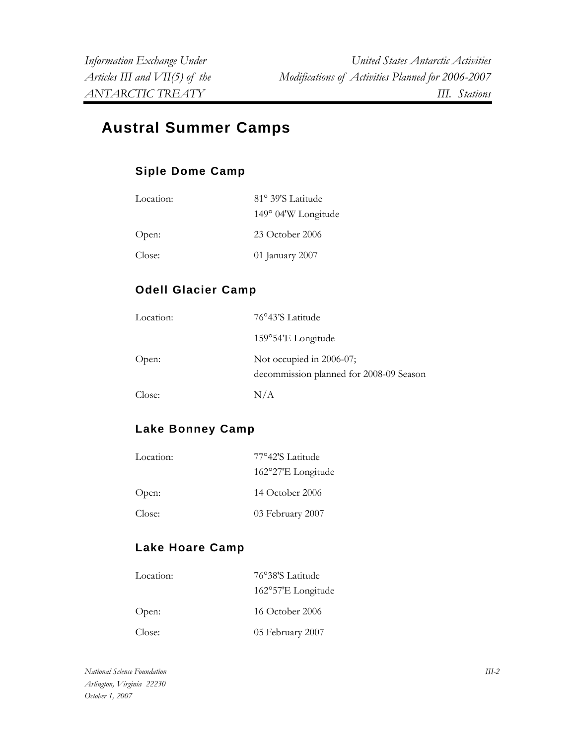# **Austral Summer Camps**

# **Siple Dome Camp**

| Location: | 81° 39'S Latitude   |
|-----------|---------------------|
|           | 149° 04'W Longitude |
| Open:     | $23$ October $2006$ |
| Close:    | 01 January 2007     |

# **Odell Glacier Camp**

| Location: | 76°43'S Latitude                                                    |
|-----------|---------------------------------------------------------------------|
|           | 159°54'E Longitude                                                  |
| Open:     | Not occupied in 2006-07;<br>decommission planned for 2008-09 Season |
| Close:    | N/A                                                                 |

# **Lake Bonney Camp**

| Location: | 77°42'S Latitude   |
|-----------|--------------------|
|           | 162°27'E Longitude |
| Open:     | 14 October 2006    |
| Close:    | 03 February 2007   |

# **Lake Hoare Camp**

| Location: | 76°38'S Latitude   |
|-----------|--------------------|
|           | 162°57'E Longitude |
| Open:     | 16 October 2006    |
| Close:    | 05 February 2007   |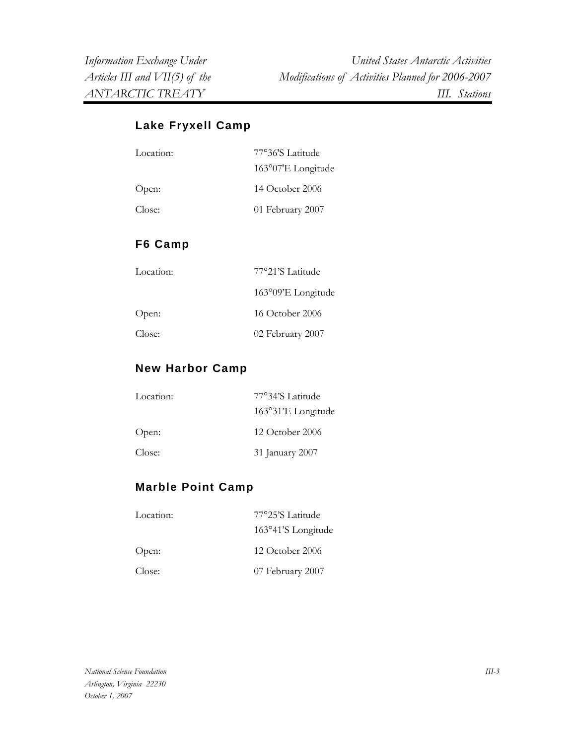*Information Exchange Under United States Antarctic Activities Articles III and VII(5) of the Modifications of Activities Planned for 2006-2007 ANTARCTIC TREATY III. Stations* 

#### **Lake Fryxell Camp**

| Location: | 77°36'S Latitude   |
|-----------|--------------------|
|           | 163°07'E Longitude |
| Open:     | 14 October 2006    |
| Close:    | 01 February 2007   |
|           |                    |

#### **F6 Camp**

| Location: | 77°21'S Latitude            |
|-----------|-----------------------------|
|           | $163^{\circ}09'E$ Longitude |
| Open:     | 16 October 2006             |
| Close:    | 02 February 2007            |

#### **New Harbor Camp**

| Location: | 77°34'S Latitude   |
|-----------|--------------------|
|           | 163°31'E Longitude |
| Open:     | $12$ October 2006  |
| Close:    | 31 January 2007    |

#### **Marble Point Camp**

| Location: | 77°25'S Latitude    |
|-----------|---------------------|
|           | 163°41'S Longitude  |
| Open:     | $12$ October $2006$ |
| Close:    | 07 February 2007    |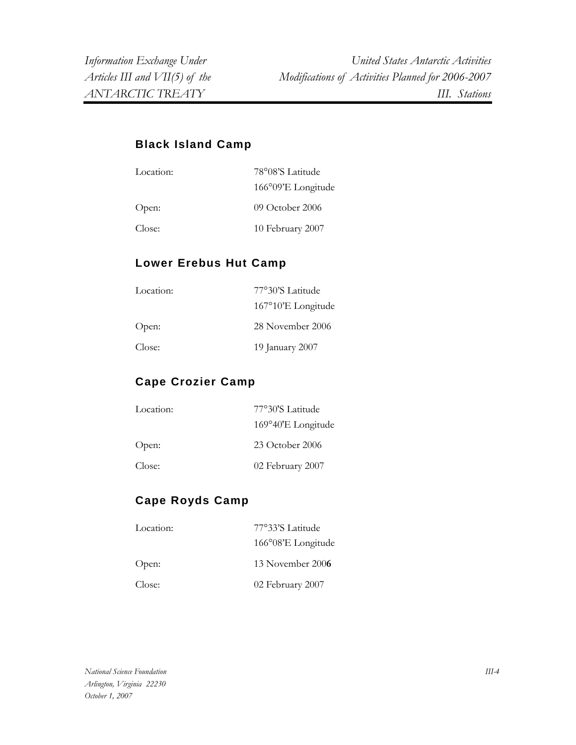#### **Black Island Camp**

| Location: | 78°08'S Latitude   |
|-----------|--------------------|
|           | 166°09'E Longitude |
| Open:     | 09 October 2006    |
| Close:    | 10 February 2007   |

#### **Lower Erebus Hut Camp**

| Location: | 77°30'S Latitude   |
|-----------|--------------------|
|           | 167°10'E Longitude |
| Open:     | 28 November 2006   |
| Close:    | 19 January 2007    |

#### **Cape Crozier Camp**

| Location: | 77°30'S Latitude   |
|-----------|--------------------|
|           | 169°40'E Longitude |
| Open:     | 23 October 2006    |
| Close:    | 02 February 2007   |

# **Cape Royds Camp**

| Location: | 77°33'S Latitude   |
|-----------|--------------------|
|           | 166°08'E Longitude |
| Open:     | 13 November 2006   |
| Close:    | 02 February 2007   |